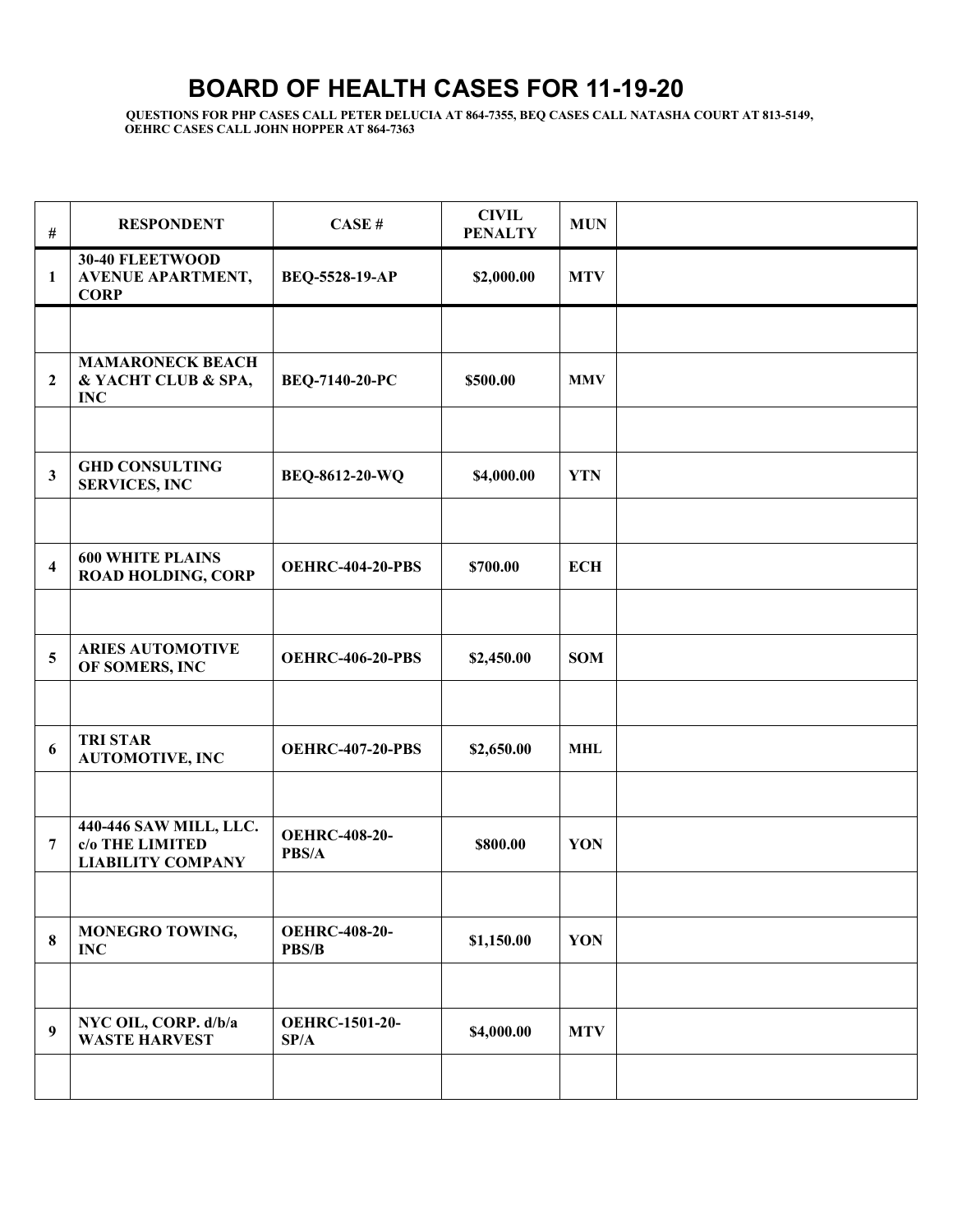## **BOARD OF HEALTH CASES FOR 11-19-20**

**QUESTIONS FOR PHP CASES CALL PETER DELUCIA AT 864-7355, BEQ CASES CALL NATASHA COURT AT 813-5149, OEHRC CASES CALL JOHN HOPPER AT 864-7363** 

| $\#$                    | <b>RESPONDENT</b>                                                     | CASE#                         | <b>CIVIL</b><br><b>PENALTY</b> | <b>MUN</b> |  |
|-------------------------|-----------------------------------------------------------------------|-------------------------------|--------------------------------|------------|--|
| -1                      | 30-40 FLEETWOOD<br><b>AVENUE APARTMENT,</b><br><b>CORP</b>            | BEQ-5528-19-AP                | \$2,000.00                     | <b>MTV</b> |  |
|                         |                                                                       |                               |                                |            |  |
| $\overline{2}$          | <b>MAMARONECK BEACH</b><br>& YACHT CLUB & SPA,<br><b>INC</b>          | BEQ-7140-20-PC                | \$500.00                       | <b>MMV</b> |  |
|                         |                                                                       |                               |                                |            |  |
| $\mathbf{3}$            | <b>GHD CONSULTING</b><br><b>SERVICES, INC</b>                         | BEQ-8612-20-WQ                | \$4,000.00                     | <b>YTN</b> |  |
|                         |                                                                       |                               |                                |            |  |
| $\overline{\mathbf{4}}$ | <b>600 WHITE PLAINS</b><br><b>ROAD HOLDING, CORP</b>                  | <b>OEHRC-404-20-PBS</b>       | \$700.00                       | <b>ECH</b> |  |
|                         |                                                                       |                               |                                |            |  |
| 5                       | <b>ARIES AUTOMOTIVE</b><br>OF SOMERS, INC                             | <b>OEHRC-406-20-PBS</b>       | \$2,450.00                     | <b>SOM</b> |  |
|                         |                                                                       |                               |                                |            |  |
| 6                       | <b>TRI STAR</b><br><b>AUTOMOTIVE, INC</b>                             | <b>OEHRC-407-20-PBS</b>       | \$2,650.00                     | <b>MHL</b> |  |
|                         |                                                                       |                               |                                |            |  |
| 7                       | 440-446 SAW MILL, LLC.<br>c/o THE LIMITED<br><b>LIABILITY COMPANY</b> | <b>OEHRC-408-20-</b><br>PBS/A | \$800.00                       | YON        |  |
|                         |                                                                       |                               |                                |            |  |
| $\bf{8}$                | MONEGRO TOWING,<br><b>INC</b>                                         | <b>OEHRC-408-20-</b><br>PBS/B | \$1,150.00                     | YON        |  |
|                         |                                                                       |                               |                                |            |  |
| 9                       | NYC OIL, CORP. d/b/a<br><b>WASTE HARVEST</b>                          | <b>OEHRC-1501-20-</b><br>SP/A | \$4,000.00                     | <b>MTV</b> |  |
|                         |                                                                       |                               |                                |            |  |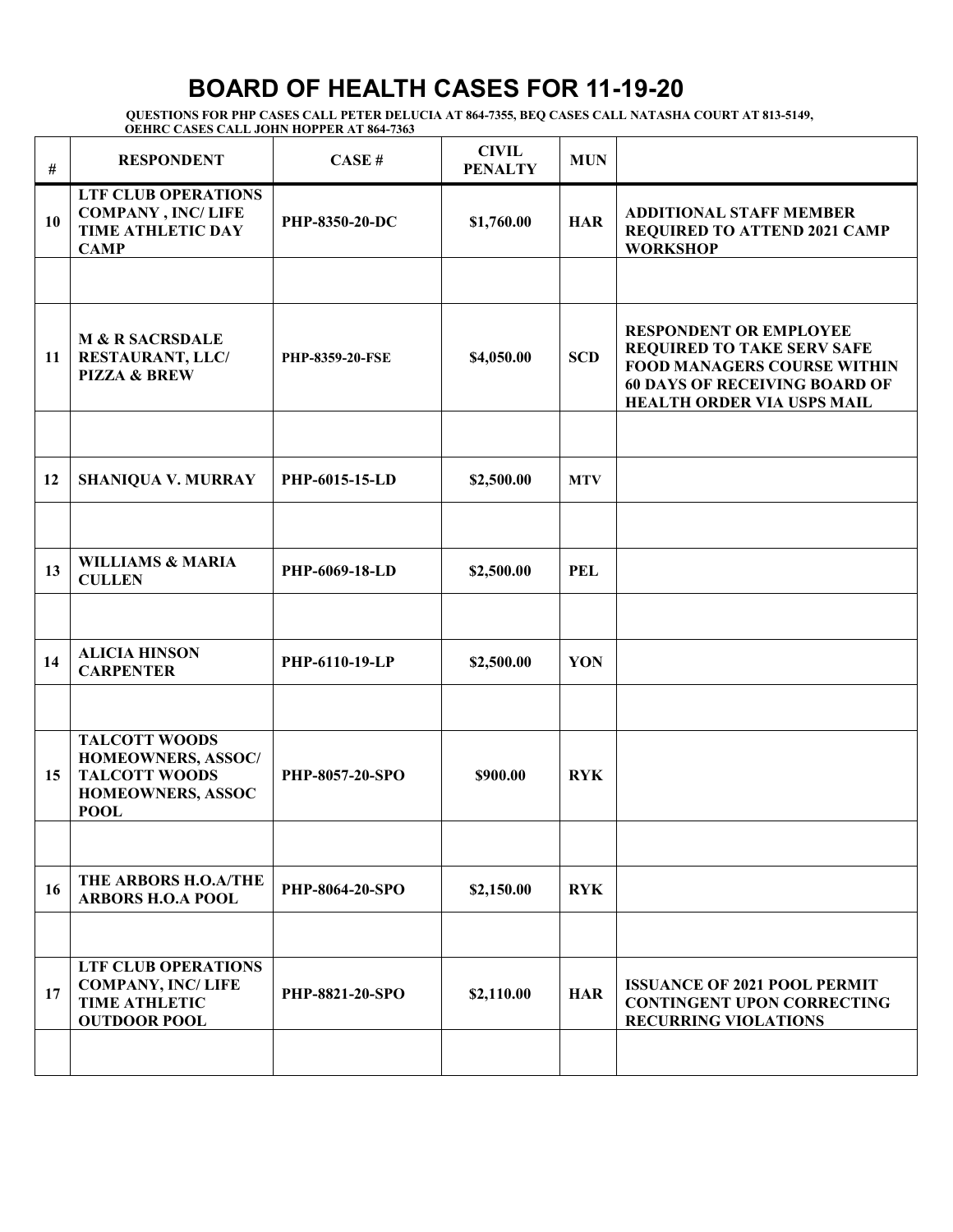## **BOARD OF HEALTH CASES FOR 11-19-20**

**QUESTIONS FOR PHP CASES CALL PETER DELUCIA AT 864-7355, BEQ CASES CALL NATASHA COURT AT 813-5149, OEHRC CASES CALL JOHN HOPPER AT 864-7363** 

| #  | <b>RESPONDENT</b>                                                                                             | CASE#                  | <b>CIVIL</b><br><b>PENALTY</b> | <b>MUN</b> |                                                                                                                                                                                |
|----|---------------------------------------------------------------------------------------------------------------|------------------------|--------------------------------|------------|--------------------------------------------------------------------------------------------------------------------------------------------------------------------------------|
| 10 | <b>LTF CLUB OPERATIONS</b><br><b>COMPANY, INC/LIFE</b><br>TIME ATHLETIC DAY<br><b>CAMP</b>                    | PHP-8350-20-DC         | \$1,760.00                     | <b>HAR</b> | <b>ADDITIONAL STAFF MEMBER</b><br><b>REQUIRED TO ATTEND 2021 CAMP</b><br><b>WORKSHOP</b>                                                                                       |
|    |                                                                                                               |                        |                                |            |                                                                                                                                                                                |
| 11 | <b>M &amp; R SACRSDALE</b><br>RESTAURANT, LLC/<br><b>PIZZA &amp; BREW</b>                                     | <b>PHP-8359-20-FSE</b> | \$4,050.00                     | <b>SCD</b> | <b>RESPONDENT OR EMPLOYEE</b><br><b>REQUIRED TO TAKE SERV SAFE</b><br><b>FOOD MANAGERS COURSE WITHIN</b><br><b>60 DAYS OF RECEIVING BOARD OF</b><br>HEALTH ORDER VIA USPS MAIL |
|    |                                                                                                               |                        |                                |            |                                                                                                                                                                                |
| 12 | <b>SHANIQUA V. MURRAY</b>                                                                                     | PHP-6015-15-LD         | \$2,500.00                     | <b>MTV</b> |                                                                                                                                                                                |
|    |                                                                                                               |                        |                                |            |                                                                                                                                                                                |
| 13 | <b>WILLIAMS &amp; MARIA</b><br><b>CULLEN</b>                                                                  | PHP-6069-18-LD         | \$2,500.00                     | <b>PEL</b> |                                                                                                                                                                                |
|    |                                                                                                               |                        |                                |            |                                                                                                                                                                                |
| 14 | <b>ALICIA HINSON</b><br><b>CARPENTER</b>                                                                      | PHP-6110-19-LP         | \$2,500.00                     | YON        |                                                                                                                                                                                |
|    |                                                                                                               |                        |                                |            |                                                                                                                                                                                |
| 15 | <b>TALCOTT WOODS</b><br>HOMEOWNERS, ASSOC/<br><b>TALCOTT WOODS</b><br><b>HOMEOWNERS, ASSOC</b><br><b>POOL</b> | PHP-8057-20-SPO        | \$900.00                       | <b>RYK</b> |                                                                                                                                                                                |
|    |                                                                                                               |                        |                                |            |                                                                                                                                                                                |
| 16 | THE ARBORS H.O.A/THE<br><b>ARBORS H.O.A POOL</b>                                                              | <b>PHP-8064-20-SPO</b> | \$2,150.00                     | <b>RYK</b> |                                                                                                                                                                                |
|    |                                                                                                               |                        |                                |            |                                                                                                                                                                                |
| 17 | <b>LTF CLUB OPERATIONS</b><br><b>COMPANY, INC/LIFE</b><br><b>TIME ATHLETIC</b><br><b>OUTDOOR POOL</b>         | <b>PHP-8821-20-SPO</b> | \$2,110.00                     | <b>HAR</b> | <b>ISSUANCE OF 2021 POOL PERMIT</b><br><b>CONTINGENT UPON CORRECTING</b><br><b>RECURRING VIOLATIONS</b>                                                                        |
|    |                                                                                                               |                        |                                |            |                                                                                                                                                                                |